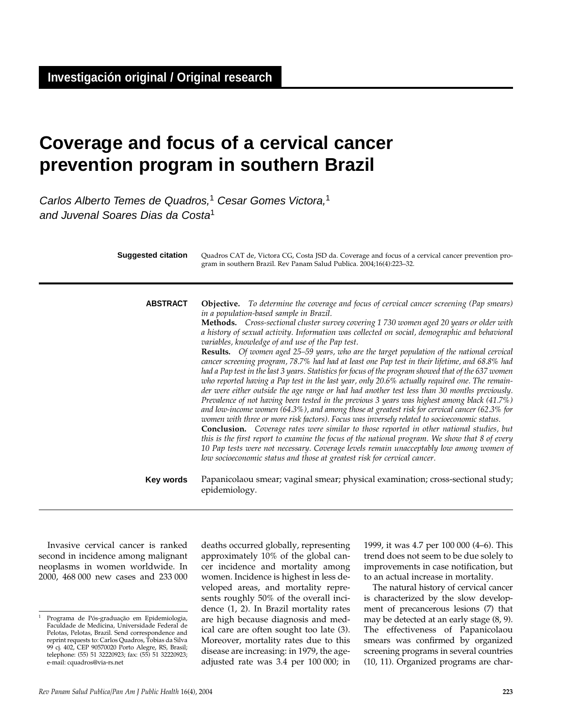# **Coverage and focus of a cervical cancer prevention program in southern Brazil**

Carlos Alberto Temes de Quadros,<sup>1</sup> Cesar Gomes Victora,<sup>1</sup> and Juvenal Soares Dias da Costa<sup>1</sup>

| <b>Suggested citation</b> | Quadros CAT de, Victora CG, Costa JSD da. Coverage and focus of a cervical cancer prevention pro-<br>gram in southern Brazil. Rev Panam Salud Publica. 2004;16(4):223-32.                                                                                                                                                                                                                                                                                                                                                                                                                                                                                                                                                                                                                                                                                                                                                                                                                                                                                                                                                                                                                                                                                                                                                                                                                                                                                                                        |
|---------------------------|--------------------------------------------------------------------------------------------------------------------------------------------------------------------------------------------------------------------------------------------------------------------------------------------------------------------------------------------------------------------------------------------------------------------------------------------------------------------------------------------------------------------------------------------------------------------------------------------------------------------------------------------------------------------------------------------------------------------------------------------------------------------------------------------------------------------------------------------------------------------------------------------------------------------------------------------------------------------------------------------------------------------------------------------------------------------------------------------------------------------------------------------------------------------------------------------------------------------------------------------------------------------------------------------------------------------------------------------------------------------------------------------------------------------------------------------------------------------------------------------------|
| <b>ABSTRACT</b>           | Objective. To determine the coverage and focus of cervical cancer screening (Pap smears)<br>in a population-based sample in Brazil.<br><b>Methods.</b> Cross-sectional cluster survey covering 1 730 women aged 20 years or older with<br>a history of sexual activity. Information was collected on social, demographic and behavioral<br>variables, knowledge of and use of the Pap test.<br>Results. Of women aged 25-59 years, who are the target population of the national cervical<br>cancer screening program, 78.7% had had at least one Pap test in their lifetime, and 68.8% had<br>had a Pap test in the last 3 years. Statistics for focus of the program showed that of the 637 women<br>who reported having a Pap test in the last year, only 20.6% actually required one. The remain-<br>der were either outside the age range or had had another test less than 30 months previously.<br>Prevalence of not having been tested in the previous 3 years was highest among black (41.7%)<br>and low-income women (64.3%), and among those at greatest risk for cervical cancer (62.3% for<br>women with three or more risk factors). Focus was inversely related to socioeconomic status.<br>Conclusion. Coverage rates were similar to those reported in other national studies, but<br>this is the first report to examine the focus of the national program. We show that 8 of every<br>10 Pap tests were not necessary. Coverage levels remain unacceptably low among women of |
|                           |                                                                                                                                                                                                                                                                                                                                                                                                                                                                                                                                                                                                                                                                                                                                                                                                                                                                                                                                                                                                                                                                                                                                                                                                                                                                                                                                                                                                                                                                                                  |

Papanicolaou smear; vaginal smear; physical examination; cross-sectional study; epidemiology. **Key words**

*low socioeconomic status and those at greatest risk for cervical cancer.*

Invasive cervical cancer is ranked second in incidence among malignant neoplasms in women worldwide. In 2000, 468 000 new cases and 233 000 deaths occurred globally, representing approximately 10% of the global cancer incidence and mortality among women. Incidence is highest in less developed areas, and mortality represents roughly 50% of the overall incidence (1, 2). In Brazil mortality rates are high because diagnosis and medical care are often sought too late (3). Moreover, mortality rates due to this disease are increasing: in 1979, the ageadjusted rate was 3.4 per 100 000; in

1999, it was 4.7 per 100 000 (4–6). This trend does not seem to be due solely to improvements in case notification, but to an actual increase in mortality.

The natural history of cervical cancer is characterized by the slow development of precancerous lesions (7) that may be detected at an early stage (8, 9). The effectiveness of Papanicolaou smears was confirmed by organized screening programs in several countries (10, 11). Organized programs are char-

<sup>1</sup> Programa de Pós-graduação em Epidemiologia, Faculdade de Medicina, Universidade Federal de Pelotas, Pelotas, Brazil. Send correspondence and reprint requests to: Carlos Quadros, Tobias da Silva 99 cj. 402, CEP 90570020 Porto Alegre, RS, Brasil; telephone: (55) 51 32220923; fax: (55) 51 32220923; e-mail: cquadros@via-rs.net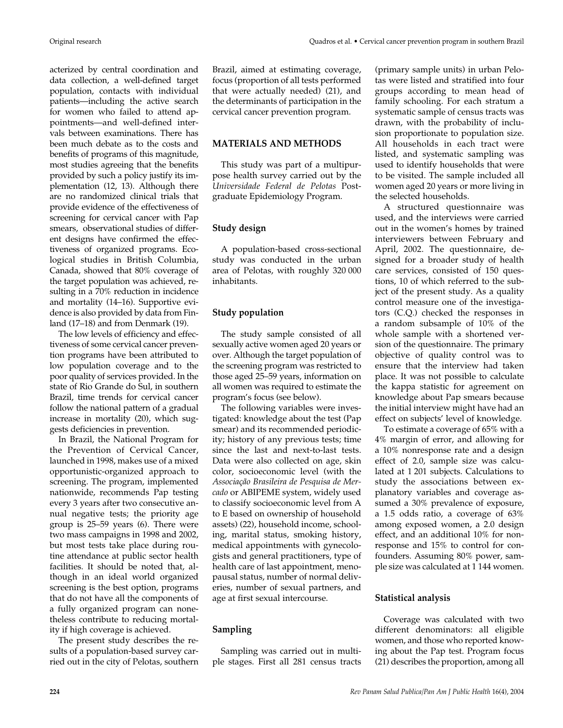acterized by central coordination and data collection, a well-defined target population, contacts with individual patients—including the active search for women who failed to attend appointments—and well-defined intervals between examinations. There has been much debate as to the costs and benefits of programs of this magnitude, most studies agreeing that the benefits provided by such a policy justify its implementation (12, 13). Although there are no randomized clinical trials that provide evidence of the effectiveness of screening for cervical cancer with Pap smears, observational studies of different designs have confirmed the effectiveness of organized programs. Ecological studies in British Columbia, Canada, showed that 80% coverage of the target population was achieved, resulting in a 70% reduction in incidence and mortality (14–16). Supportive evidence is also provided by data from Finland (17–18) and from Denmark (19).

The low levels of efficiency and effectiveness of some cervical cancer prevention programs have been attributed to low population coverage and to the poor quality of services provided. In the state of Rio Grande do Sul, in southern Brazil, time trends for cervical cancer follow the national pattern of a gradual increase in mortality (20), which suggests deficiencies in prevention.

In Brazil, the National Program for the Prevention of Cervical Cancer, launched in 1998, makes use of a mixed opportunistic-organized approach to screening. The program, implemented nationwide, recommends Pap testing every 3 years after two consecutive annual negative tests; the priority age group is 25–59 years (6). There were two mass campaigns in 1998 and 2002, but most tests take place during routine attendance at public sector health facilities. It should be noted that, although in an ideal world organized screening is the best option, programs that do not have all the components of a fully organized program can nonetheless contribute to reducing mortality if high coverage is achieved.

The present study describes the results of a population-based survey carried out in the city of Pelotas, southern Brazil, aimed at estimating coverage, focus (proportion of all tests performed that were actually needed) (21), and the determinants of participation in the cervical cancer prevention program.

#### **MATERIALS AND METHODS**

This study was part of a multipurpose health survey carried out by the *Universidade Federal de Pelotas* Postgraduate Epidemiology Program.

## **Study design**

A population-based cross-sectional study was conducted in the urban area of Pelotas, with roughly 320 000 inhabitants.

## **Study population**

The study sample consisted of all sexually active women aged 20 years or over. Although the target population of the screening program was restricted to those aged 25–59 years, information on all women was required to estimate the program's focus (see below).

The following variables were investigated: knowledge about the test (Pap smear) and its recommended periodicity; history of any previous tests; time since the last and next-to-last tests. Data were also collected on age, skin color, socioeconomic level (with the *Associação Brasileira de Pesquisa de Mercado* or ABIPEME system, widely used to classify socioeconomic level from A to E based on ownership of household assets) (22), household income, schooling, marital status, smoking history, medical appointments with gynecologists and general practitioners, type of health care of last appointment, menopausal status, number of normal deliveries, number of sexual partners, and age at first sexual intercourse.

## **Sampling**

Sampling was carried out in multiple stages. First all 281 census tracts (primary sample units) in urban Pelotas were listed and stratified into four groups according to mean head of family schooling. For each stratum a systematic sample of census tracts was drawn, with the probability of inclusion proportionate to population size. All households in each tract were listed, and systematic sampling was used to identify households that were to be visited. The sample included all women aged 20 years or more living in the selected households.

A structured questionnaire was used, and the interviews were carried out in the women's homes by trained interviewers between February and April, 2002. The questionnaire, designed for a broader study of health care services, consisted of 150 questions, 10 of which referred to the subject of the present study. As a quality control measure one of the investigators (C.Q.) checked the responses in a random subsample of 10% of the whole sample with a shortened version of the questionnaire. The primary objective of quality control was to ensure that the interview had taken place. It was not possible to calculate the kappa statistic for agreement on knowledge about Pap smears because the initial interview might have had an effect on subjects' level of knowledge.

To estimate a coverage of 65% with a 4% margin of error, and allowing for a 10% nonresponse rate and a design effect of 2.0, sample size was calculated at 1 201 subjects. Calculations to study the associations between explanatory variables and coverage assumed a 30% prevalence of exposure, a 1.5 odds ratio, a coverage of 63% among exposed women, a 2.0 design effect, and an additional 10% for nonresponse and 15% to control for confounders. Assuming 80% power, sample size was calculated at 1 144 women.

## **Statistical analysis**

Coverage was calculated with two different denominators: all eligible women, and those who reported knowing about the Pap test. Program focus (21) describes the proportion, among all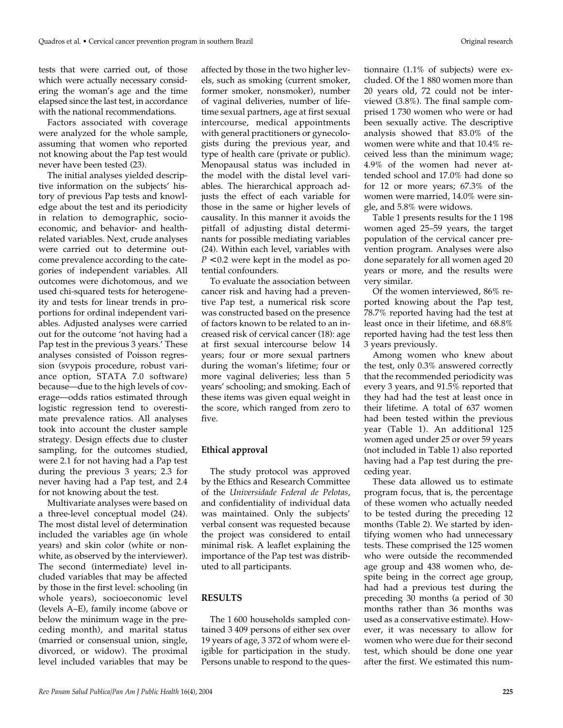tests that were carried out, of those which were actually necessary considering the woman's age and the time elapsed since the last test, in accordance with the national recommendations.

Factors associated with coverage were analyzed for the whole sample, assuming that women who reported not knowing about the Pap test would never have been tested (23).

The initial analyses yielded descriptive information on the subjects' history of previous Pap tests and knowledge about the test and its periodicity in relation to demographic, socioeconomic, and behavior- and healthrelated variables. Next, crude analyses were carried out to determine outcome prevalence according to the categories of independent variables. All outcomes were dichotomous, and we used chi-squared tests for heterogeneity and tests for linear trends in proportions for ordinal independent variables. Adjusted analyses were carried out for the outcome 'not having had a Pap test in the previous 3 years.' These analyses consisted of Poisson regression (svypois procedure, robust variance option, STATA 7.0 software) because—due to the high levels of coverage—odds ratios estimated through logistic regression tend to overestimate prevalence ratios. All analyses took into account the cluster sample strategy. Design effects due to cluster sampling, for the outcomes studied, were 2.1 for not having had a Pap test during the previous 3 years; 2.3 for never having had a Pap test, and 2.4 for not knowing about the test.

Multivariate analyses were based on a three-level conceptual model (24). The most distal level of determination included the variables age (in whole years) and skin color (white or nonwhite, as observed by the interviewer). The second (intermediate) level included variables that may be affected by those in the first level: schooling (in whole years), socioeconomic level (levels A–E), family income (above or below the minimum wage in the preceding month), and marital status (married or consensual union, single, divorced, or widow). The proximal level included variables that may be affected by those in the two higher levels, such as smoking (current smoker, former smoker, nonsmoker), number of vaginal deliveries, number of lifetime sexual partners, age at first sexual intercourse, medical appointments with general practitioners or gynecologists during the previous year, and type of health care (private or public). Menopausal status was included in the model with the distal level variables. The hierarchical approach adjusts the effect of each variable for those in the same or higher levels of causality. In this manner it avoids the pitfall of adjusting distal determinants for possible mediating variables (24). Within each level, variables with  $P < 0.2$  were kept in the model as potential confounders.

To evaluate the association between cancer risk and having had a preventive Pap test, a numerical risk score was constructed based on the presence of factors known to be related to an increased risk of cervical cancer (18): age at first sexual intercourse below 14 years; four or more sexual partners during the woman's lifetime; four or more vaginal deliveries; less than 5 years' schooling; and smoking. Each of these items was given equal weight in the score, which ranged from zero to five.

## **Ethical approval**

The study protocol was approved by the Ethics and Research Committee of the *Universidade Federal de Pelotas*, and confidentiality of individual data was maintained. Only the subjects' verbal consent was requested because the project was considered to entail minimal risk. A leaflet explaining the importance of the Pap test was distributed to all participants.

## **RESULTS**

The 1 600 households sampled contained 3 409 persons of either sex over 19 years of age, 3 372 of whom were eligible for participation in the study. Persons unable to respond to the ques-

tionnaire (1.1% of subjects) were excluded. Of the 1 880 women more than 20 years old, 72 could not be interviewed (3.8%). The final sample comprised 1 730 women who were or had been sexually active. The descriptive analysis showed that 83.0% of the women were white and that 10.4% received less than the minimum wage; 4.9% of the women had never attended school and 17.0% had done so for 12 or more years; 67.3% of the women were married, 14.0% were single, and 5.8% were widows.

Table 1 presents results for the 1 198 women aged 25–59 years, the target population of the cervical cancer prevention program. Analyses were also done separately for all women aged 20 years or more, and the results were very similar.

Of the women interviewed, 86% reported knowing about the Pap test, 78.7% reported having had the test at least once in their lifetime, and 68.8% reported having had the test less then 3 years previously.

Among women who knew about the test, only 0.3% answered correctly that the recommended periodicity was every 3 years, and 91.5% reported that they had had the test at least once in their lifetime. A total of 637 women had been tested within the previous year (Table 1). An additional 125 women aged under 25 or over 59 years (not included in Table 1) also reported having had a Pap test during the preceding year.

These data allowed us to estimate program focus, that is, the percentage of these women who actually needed to be tested during the preceding 12 months (Table 2). We started by identifying women who had unnecessary tests. These comprised the 125 women who were outside the recommended age group and 438 women who, despite being in the correct age group, had had a previous test during the preceding 30 months (a period of 30 months rather than 36 months was used as a conservative estimate). However, it was necessary to allow for women who were due for their second test, which should be done one year after the first. We estimated this num-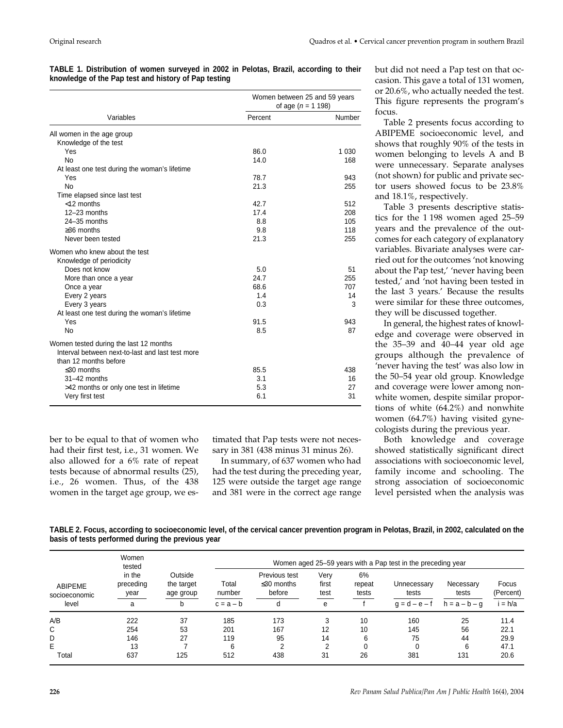| TABLE 1. Distribution of women surveyed in 2002 in Pelotas, Brazil, according to their |  |  |  |
|----------------------------------------------------------------------------------------|--|--|--|
| knowledge of the Pap test and history of Pap testing                                   |  |  |  |

|                                                  | Women between 25 and 59 years<br>of age ( $n = 1$ 198) |         |  |
|--------------------------------------------------|--------------------------------------------------------|---------|--|
| Variables                                        | Percent                                                | Number  |  |
| All women in the age group                       |                                                        |         |  |
| Knowledge of the test                            |                                                        |         |  |
| Yes                                              | 86.0                                                   | 1 0 3 0 |  |
| <b>No</b>                                        | 14.0                                                   | 168     |  |
| At least one test during the woman's lifetime    |                                                        |         |  |
| Yes                                              | 78.7                                                   | 943     |  |
| <b>No</b>                                        | 21.3                                                   | 255     |  |
| Time elapsed since last test                     |                                                        |         |  |
| $<$ 12 months                                    | 42.7                                                   | 512     |  |
| $12-23$ months                                   | 17.4                                                   | 208     |  |
| $24 - 35$ months                                 | 8.8                                                    | 105     |  |
| $\geq$ 36 months                                 | 9.8                                                    | 118     |  |
| Never been tested                                | 21.3                                                   | 255     |  |
| Women who knew about the test                    |                                                        |         |  |
| Knowledge of periodicity                         |                                                        |         |  |
| Does not know                                    | 5.0                                                    | 51      |  |
| More than once a year                            | 24.7                                                   | 255     |  |
| Once a year                                      | 68.6                                                   | 707     |  |
| Every 2 years                                    | 1.4                                                    | 14      |  |
| Every 3 years                                    | 0.3                                                    | 3       |  |
| At least one test during the woman's lifetime    |                                                        |         |  |
| Yes                                              | 91.5                                                   | 943     |  |
| <b>No</b>                                        | 8.5                                                    | 87      |  |
| Women tested during the last 12 months           |                                                        |         |  |
| Interval between next-to-last and last test more |                                                        |         |  |
| than 12 months before                            |                                                        |         |  |
| $\leq$ 30 months                                 | 85.5                                                   | 438     |  |
| 31-42 months                                     | 3.1                                                    | 16      |  |
| >42 months or only one test in lifetime          | 5.3                                                    | 27      |  |
| Very first test                                  | 6.1                                                    | 31      |  |
|                                                  |                                                        |         |  |

ber to be equal to that of women who had their first test, i.e., 31 women. We also allowed for a 6% rate of repeat tests because of abnormal results (25), i.e., 26 women. Thus, of the 438 women in the target age group, we es-

timated that Pap tests were not necessary in 381 (438 minus 31 minus 26).

In summary, of 637 women who had had the test during the preceding year, 125 were outside the target age range and 381 were in the correct age range but did not need a Pap test on that occasion. This gave a total of 131 women, or 20.6%, who actually needed the test. This figure represents the program's focus.

Table 2 presents focus according to ABIPEME socioeconomic level, and shows that roughly 90% of the tests in women belonging to levels A and B were unnecessary. Separate analyses (not shown) for public and private sector users showed focus to be 23.8% and 18.1%, respectively.

Table 3 presents descriptive statistics for the 1 198 women aged 25–59 years and the prevalence of the outcomes for each category of explanatory variables. Bivariate analyses were carried out for the outcomes 'not knowing about the Pap test,' 'never having been tested,' and 'not having been tested in the last 3 years.' Because the results were similar for these three outcomes, they will be discussed together.

In general, the highest rates of knowledge and coverage were observed in the 35–39 and 40–44 year old age groups although the prevalence of 'never having the test' was also low in the 50–54 year old group. Knowledge and coverage were lower among nonwhite women, despite similar proportions of white (64.2%) and nonwhite women (64.7%) having visited gynecologists during the previous year.

Both knowledge and coverage showed statistically significant direct associations with socioeconomic level, family income and schooling. The strong association of socioeconomic level persisted when the analysis was

**TABLE 2. Focus, according to socioeconomic level, of the cervical cancer prevention program in Pelotas, Brazil, in 2002, calculated on the basis of tests performed during the previous year**

| ABIPEME<br>socioeconomic<br>level | Women<br>tested<br>in the<br>preceding<br>year<br>a |                                    | Women aged 25–59 years with a Pap test in the preceding year |                                             |                            |                       |                                         |                                       |                               |  |
|-----------------------------------|-----------------------------------------------------|------------------------------------|--------------------------------------------------------------|---------------------------------------------|----------------------------|-----------------------|-----------------------------------------|---------------------------------------|-------------------------------|--|
|                                   |                                                     | Outside<br>the target<br>age group | Total<br>number<br>$c = a - b$                               | Previous test<br>$\leq$ 30 months<br>before | Verv<br>first<br>test<br>e | 6%<br>repeat<br>tests | Unnecessarv<br>tests<br>$q = d - e - f$ | Necessary<br>tests<br>$h = a - b - q$ | Focus<br>(Percent)<br>i = h/a |  |
| A/B                               | 222                                                 | 37                                 | 185                                                          | 173                                         |                            | 10                    | 160                                     | 25                                    | 11.4                          |  |
| С                                 | 254                                                 | 53                                 | 201                                                          | 167                                         | 12                         | 10                    | 145                                     | 56                                    | 22.1                          |  |
| D                                 | 146                                                 | 27                                 | 119                                                          | 95                                          | 14                         | 6                     | 75                                      | 44                                    | 29.9                          |  |
| E                                 | 13                                                  |                                    | 6                                                            | ◠                                           |                            | $\Omega$              |                                         | 6                                     | 47.1                          |  |
| Total                             | 637                                                 | 125                                | 512                                                          | 438                                         | 31                         | 26                    | 381                                     | 131                                   | 20.6                          |  |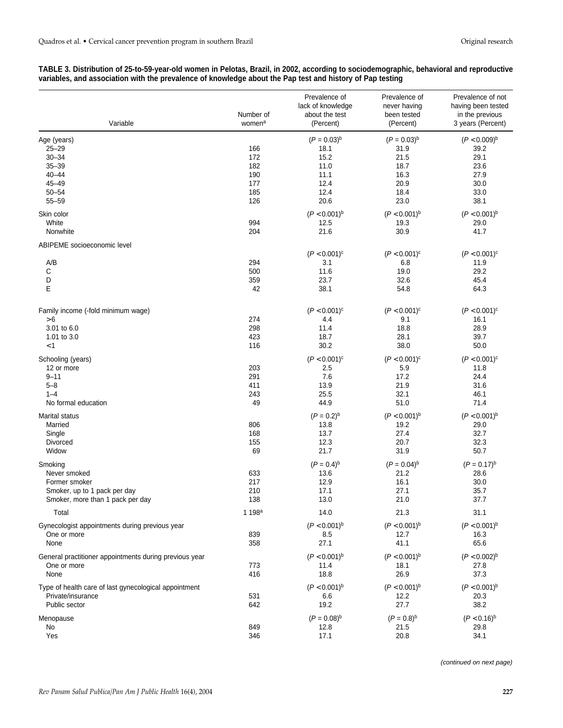#### **TABLE 3. Distribution of 25-to-59-year-old women in Pelotas, Brazil, in 2002, according to sociodemographic, behavioral and reproductive variables, and association with the prevalence of knowledge about the Pap test and history of Pap testing**

| Variable                                                                                                     | Number of<br>women <sup>a</sup> | Prevalence of<br>lack of knowledge<br>about the test<br>(Percent) | Prevalence of<br>never having<br>been tested<br>(Percent) | Prevalence of not<br>having been tested<br>in the previous<br>3 years (Percent) |
|--------------------------------------------------------------------------------------------------------------|---------------------------------|-------------------------------------------------------------------|-----------------------------------------------------------|---------------------------------------------------------------------------------|
| Age (years)<br>$25 - 29$<br>$30 - 34$<br>$35 - 39$<br>$40 - 44$                                              | 166<br>172<br>182               | $(P = 0.03)^{b}$<br>18.1<br>15.2<br>11.0                          | $(P = 0.03)^{b}$<br>31.9<br>21.5<br>18.7                  | $(P < 0.009)^b$<br>39.2<br>29.1<br>23.6                                         |
| 45-49<br>$50 - 54$<br>$55 - 59$                                                                              | 190<br>177<br>185<br>126        | 11.1<br>12.4<br>12.4<br>20.6                                      | 16.3<br>20.9<br>18.4<br>23.0                              | 27.9<br>30.0<br>33.0<br>38.1                                                    |
| Skin color<br>White<br>Nonwhite                                                                              | 994<br>204                      | $(P < 0.001)^b$<br>12.5<br>21.6                                   | $(P < 0.001)^b$<br>19.3<br>30.9                           | $(P < 0.001)^b$<br>29.0<br>41.7                                                 |
| ABIPEME socioeconomic level                                                                                  |                                 |                                                                   |                                                           |                                                                                 |
| A/B<br>С<br>D<br>E                                                                                           | 294<br>500<br>359<br>42         | $(P < 0.001)^c$<br>3.1<br>11.6<br>23.7<br>38.1                    | $(P < 0.001)^c$<br>6.8<br>19.0<br>32.6<br>54.8            | $(P < 0.001)^c$<br>11.9<br>29.2<br>45.4<br>64.3                                 |
| Family income (-fold minimum wage)                                                                           |                                 | $(P < 0.001)^c$                                                   | $(P < 0.001)^c$                                           | $(P < 0.001)^c$                                                                 |
| > 6<br>3.01 to 6.0<br>1.01 to 3.0<br>$<$ 1                                                                   | 274<br>298<br>423<br>116        | 4.4<br>11.4<br>18.7<br>30.2                                       | 9.1<br>18.8<br>28.1<br>38.0                               | 16.1<br>28.9<br>39.7<br>50.0                                                    |
|                                                                                                              |                                 | $(P < 0.001)^c$                                                   | $(P < 0.001)^c$                                           | $(P < 0.001)^c$                                                                 |
| Schooling (years)<br>12 or more<br>$9 - 11$<br>$5 - 8$<br>$1 - 4$<br>No formal education                     | 203<br>291<br>411<br>243<br>49  | 2.5<br>7.6<br>13.9<br>25.5<br>44.9                                | 5.9<br>17.2<br>21.9<br>32.1<br>51.0                       | 11.8<br>24.4<br>31.6<br>46.1<br>71.4                                            |
|                                                                                                              |                                 |                                                                   |                                                           |                                                                                 |
| Marital status<br>Married<br>Single<br>Divorced<br>Widow                                                     | 806<br>168<br>155<br>69         | $(P = 0.2)^{b}$<br>13.8<br>13.7<br>12.3<br>21.7                   | $(P < 0.001)^b$<br>19.2<br>27.4<br>20.7<br>31.9           | $(P < 0.001)^b$<br>29.0<br>32.7<br>32.3<br>50.7                                 |
| Smoking<br>Never smoked<br>Former smoker<br>Smoker, up to 1 pack per day<br>Smoker, more than 1 pack per day | 633<br>217<br>210<br>138        | $(P = 0.4)^{b}$<br>13.6<br>12.9<br>17.1<br>13.0                   | $(P = 0.04)^{b}$<br>21.2<br>16.1<br>27.1<br>21.0          | $(P = 0.17)^{b}$<br>28.6<br>30.0<br>35.7<br>37.7                                |
| Total                                                                                                        | 1 198 <sup>a</sup>              | 14.0                                                              | 21.3                                                      | 31.1                                                                            |
| Gynecologist appointments during previous year<br>One or more<br>None                                        | 839<br>358                      | $(P < 0.001)^b$<br>8.5<br>27.1                                    | $(P < 0.001)^b$<br>12.7<br>41.1                           | $(P < 0.001)^b$<br>16.3<br>65.6                                                 |
| General practitioner appointments during previous year<br>One or more<br>None                                | 773<br>416                      | $(P < 0.001)^b$<br>11.4<br>18.8                                   | $(P < 0.001)^b$<br>18.1<br>26.9                           | $(P < 0.002)^{b}$<br>27.8<br>37.3                                               |
| Type of health care of last gynecological appointment<br>Private/insurance<br>Public sector                  | 531<br>642                      | $(P < 0.001)^b$<br>6.6<br>19.2                                    | $(P < 0.001)^b$<br>12.2<br>27.7                           | $(P < 0.001)^b$<br>20.3<br>38.2                                                 |
| Menopause<br>No<br>Yes                                                                                       | 849<br>346                      | $(P = 0.08)^{b}$<br>12.8<br>17.1                                  | $(P = 0.8)^{b}$<br>21.5<br>20.8                           | $(P < 0.16)^b$<br>29.8<br>34.1                                                  |

(continued on next page)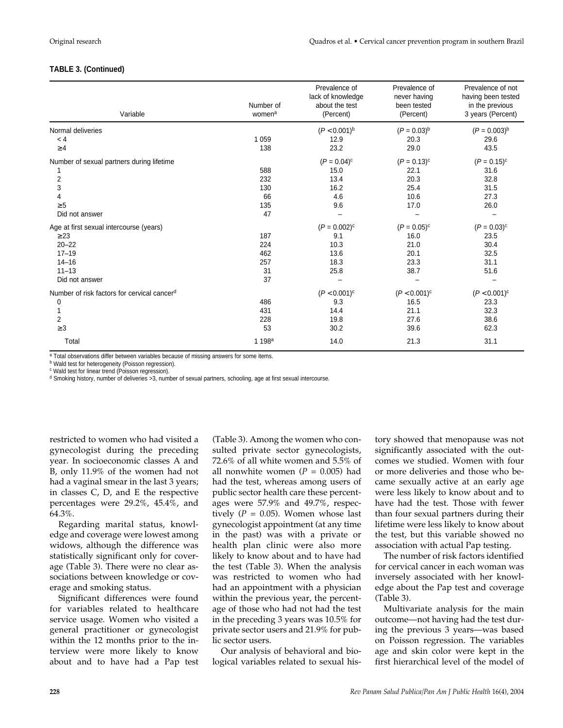## **TABLE 3. (Continued)**

| Variable                                    | Number of<br>women <sup>a</sup> | Prevalence of<br>lack of knowledge<br>about the test<br>(Percent) | Prevalence of<br>never having<br>been tested<br>(Percent) | Prevalence of not<br>having been tested<br>in the previous<br>3 years (Percent) |
|---------------------------------------------|---------------------------------|-------------------------------------------------------------------|-----------------------------------------------------------|---------------------------------------------------------------------------------|
| Normal deliveries                           |                                 | $(P < 0.001)^b$                                                   | $(P = 0.03)^{b}$                                          | $(P = 0.003)^{b}$                                                               |
| < 4                                         | 1 0 5 9                         | 12.9                                                              | 20.3                                                      | 29.6                                                                            |
| $\geq 4$                                    | 138                             | 23.2                                                              | 29.0                                                      | 43.5                                                                            |
| Number of sexual partners during lifetime   |                                 | $(P = 0.04)^c$                                                    | $(P = 0.13)^c$                                            | $(P = 0.15)^c$                                                                  |
|                                             | 588                             | 15.0                                                              | 22.1                                                      | 31.6                                                                            |
| 2                                           | 232                             | 13.4                                                              | 20.3                                                      | 32.8                                                                            |
| 3                                           | 130                             | 16.2                                                              | 25.4                                                      | 31.5                                                                            |
| 4                                           | 66                              | 4.6                                                               | 10.6                                                      | 27.3                                                                            |
| $\geq 5$                                    | 135                             | 9.6                                                               | 17.0                                                      | 26.0                                                                            |
| Did not answer                              | 47                              |                                                                   |                                                           |                                                                                 |
| Age at first sexual intercourse (years)     |                                 | $(P = 0.002)^c$                                                   | $(P = 0.05)^c$                                            | $(P = 0.03)^c$                                                                  |
| $\geq$ 23                                   | 187                             | 9.1                                                               | 16.0                                                      | 23.5                                                                            |
| $20 - 22$                                   | 224                             | 10.3                                                              | 21.0                                                      | 30.4                                                                            |
| $17 - 19$                                   | 462                             | 13.6                                                              | 20.1                                                      | 32.5                                                                            |
| $14 - 16$                                   | 257                             | 18.3                                                              | 23.3                                                      | 31.1                                                                            |
| $11 - 13$                                   | 31                              | 25.8                                                              | 38.7                                                      | 51.6                                                                            |
| Did not answer                              | 37                              |                                                                   |                                                           |                                                                                 |
| Number of risk factors for cervical cancerd |                                 | $(P < 0.001)^c$                                                   | $(P < 0.001)^c$                                           | $(P < 0.001)^c$                                                                 |
| 0                                           | 486                             | 9.3                                                               | 16.5                                                      | 23.3                                                                            |
|                                             | 431                             | 14.4                                                              | 21.1                                                      | 32.3                                                                            |
| 2                                           | 228                             | 19.8                                                              | 27.6                                                      | 38.6                                                                            |
| $\geq$ 3                                    | 53                              | 30.2                                                              | 39.6                                                      | 62.3                                                                            |
| Total                                       | 1 198 <sup>a</sup>              | 14.0                                                              | 21.3                                                      | 31.1                                                                            |

a Total observations differ between variables because of missing answers for some items.

**b** Wald test for heterogeneity (Poisson regression).

<sup>c</sup> Wald test for linear trend (Poisson regression).

<sup>d</sup> Smoking history, number of deliveries >3, number of sexual partners, schooling, age at first sexual intercourse.

restricted to women who had visited a gynecologist during the preceding year. In socioeconomic classes A and B, only 11.9% of the women had not had a vaginal smear in the last 3 years; in classes C, D, and E the respective percentages were 29.2%, 45.4%, and 64.3%.

Regarding marital status, knowledge and coverage were lowest among widows, although the difference was statistically significant only for coverage (Table 3). There were no clear associations between knowledge or coverage and smoking status.

Significant differences were found for variables related to healthcare service usage. Women who visited a general practitioner or gynecologist within the 12 months prior to the interview were more likely to know about and to have had a Pap test

(Table 3). Among the women who consulted private sector gynecologists, 72.6% of all white women and 5.5% of all nonwhite women  $(P = 0.005)$  had had the test, whereas among users of public sector health care these percentages were 57.9% and 49.7%, respectively  $(P = 0.05)$ . Women whose last gynecologist appointment (at any time in the past) was with a private or health plan clinic were also more likely to know about and to have had the test (Table 3). When the analysis was restricted to women who had had an appointment with a physician within the previous year, the percentage of those who had not had the test in the preceding 3 years was 10.5% for private sector users and 21.9% for public sector users.

Our analysis of behavioral and biological variables related to sexual history showed that menopause was not significantly associated with the outcomes we studied. Women with four or more deliveries and those who became sexually active at an early age were less likely to know about and to have had the test. Those with fewer than four sexual partners during their lifetime were less likely to know about the test, but this variable showed no association with actual Pap testing.

The number of risk factors identified for cervical cancer in each woman was inversely associated with her knowledge about the Pap test and coverage (Table 3).

Multivariate analysis for the main outcome—not having had the test during the previous 3 years—was based on Poisson regression. The variables age and skin color were kept in the first hierarchical level of the model of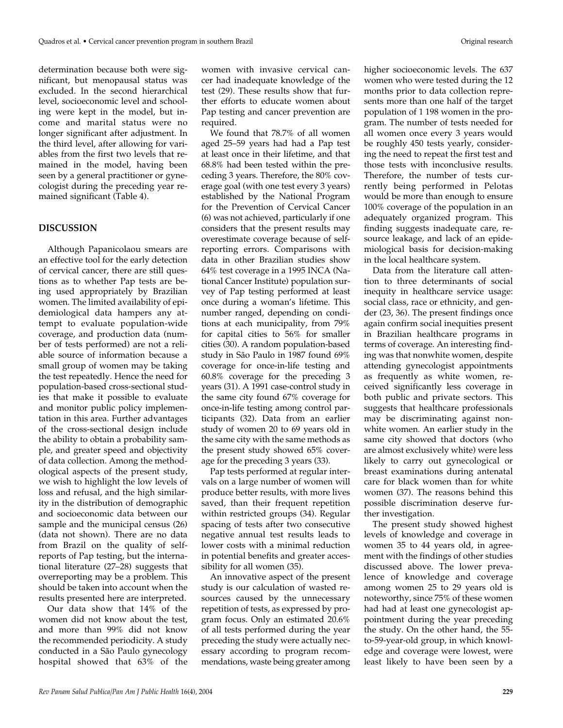determination because both were significant, but menopausal status was excluded. In the second hierarchical level, socioeconomic level and schooling were kept in the model, but income and marital status were no longer significant after adjustment. In the third level, after allowing for variables from the first two levels that remained in the model, having been seen by a general practitioner or gynecologist during the preceding year remained significant (Table 4).

#### **DISCUSSION**

Although Papanicolaou smears are an effective tool for the early detection of cervical cancer, there are still questions as to whether Pap tests are being used appropriately by Brazilian women. The limited availability of epidemiological data hampers any attempt to evaluate population-wide coverage, and production data (number of tests performed) are not a reliable source of information because a small group of women may be taking the test repeatedly. Hence the need for population-based cross-sectional studies that make it possible to evaluate and monitor public policy implementation in this area. Further advantages of the cross-sectional design include the ability to obtain a probability sample, and greater speed and objectivity of data collection. Among the methodological aspects of the present study, we wish to highlight the low levels of loss and refusal, and the high similarity in the distribution of demographic and socioeconomic data between our sample and the municipal census (26) (data not shown). There are no data from Brazil on the quality of selfreports of Pap testing, but the international literature (27–28) suggests that overreporting may be a problem. This should be taken into account when the results presented here are interpreted.

Our data show that 14% of the women did not know about the test, and more than 99% did not know the recommended periodicity. A study conducted in a São Paulo gynecology hospital showed that 63% of the

women with invasive cervical cancer had inadequate knowledge of the test (29). These results show that further efforts to educate women about Pap testing and cancer prevention are required.

We found that 78.7% of all women aged 25–59 years had had a Pap test at least once in their lifetime, and that 68.8% had been tested within the preceding 3 years. Therefore, the 80% coverage goal (with one test every 3 years) established by the National Program for the Prevention of Cervical Cancer (6) was not achieved, particularly if one considers that the present results may overestimate coverage because of selfreporting errors. Comparisons with data in other Brazilian studies show 64% test coverage in a 1995 INCA (National Cancer Institute) population survey of Pap testing performed at least once during a woman's lifetime. This number ranged, depending on conditions at each municipality, from 79% for capital cities to 56% for smaller cities (30). A random population-based study in São Paulo in 1987 found 69% coverage for once-in-life testing and 60.8% coverage for the preceding 3 years (31). A 1991 case-control study in the same city found 67% coverage for once-in-life testing among control participants (32). Data from an earlier study of women 20 to 69 years old in the same city with the same methods as the present study showed 65% coverage for the preceding 3 years (33).

Pap tests performed at regular intervals on a large number of women will produce better results, with more lives saved, than their frequent repetition within restricted groups (34). Regular spacing of tests after two consecutive negative annual test results leads to lower costs with a minimal reduction in potential benefits and greater accessibility for all women (35).

An innovative aspect of the present study is our calculation of wasted resources caused by the unnecessary repetition of tests, as expressed by program focus. Only an estimated 20.6% of all tests performed during the year preceding the study were actually necessary according to program recommendations, waste being greater among

higher socioeconomic levels. The 637 women who were tested during the 12 months prior to data collection represents more than one half of the target population of 1 198 women in the program. The number of tests needed for all women once every 3 years would be roughly 450 tests yearly, considering the need to repeat the first test and those tests with inconclusive results. Therefore, the number of tests currently being performed in Pelotas would be more than enough to ensure 100% coverage of the population in an adequately organized program. This finding suggests inadequate care, resource leakage, and lack of an epidemiological basis for decision-making in the local healthcare system.

Data from the literature call attention to three determinants of social inequity in healthcare service usage: social class, race or ethnicity, and gender (23, 36). The present findings once again confirm social inequities present in Brazilian healthcare programs in terms of coverage. An interesting finding was that nonwhite women, despite attending gynecologist appointments as frequently as white women, received significantly less coverage in both public and private sectors. This suggests that healthcare professionals may be discriminating against nonwhite women. An earlier study in the same city showed that doctors (who are almost exclusively white) were less likely to carry out gynecological or breast examinations during antenatal care for black women than for white women (37). The reasons behind this possible discrimination deserve further investigation.

The present study showed highest levels of knowledge and coverage in women 35 to 44 years old, in agreement with the findings of other studies discussed above. The lower prevalence of knowledge and coverage among women 25 to 29 years old is noteworthy, since 75% of these women had had at least one gynecologist appointment during the year preceding the study. On the other hand, the 55 to-59-year-old group, in which knowledge and coverage were lowest, were least likely to have been seen by a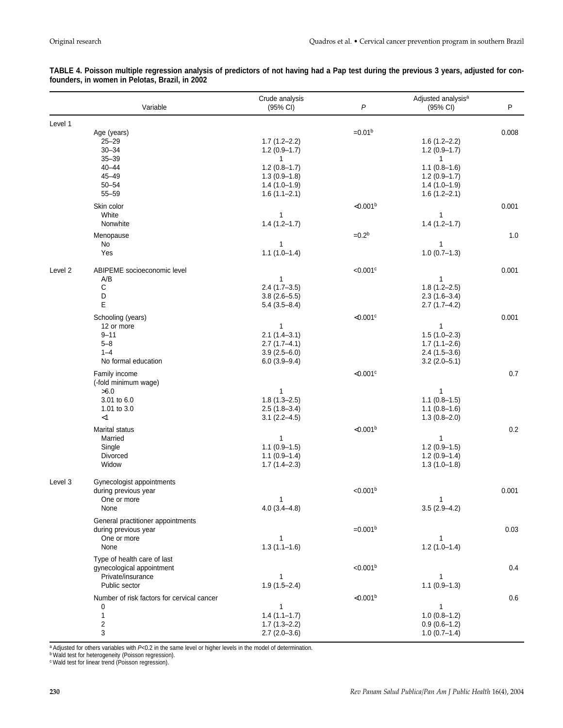|         | Variable                                                                                       | Crude analysis<br>(95% CI)                                                               | $\overline{P}$         | Adjusted analysis <sup>a</sup><br>(95% CI)                                             | P     |
|---------|------------------------------------------------------------------------------------------------|------------------------------------------------------------------------------------------|------------------------|----------------------------------------------------------------------------------------|-------|
| Level 1 |                                                                                                |                                                                                          |                        |                                                                                        |       |
|         | Age (years)<br>$25 - 29$<br>$30 - 34$<br>$35 - 39$                                             | $1.7(1.2 - 2.2)$<br>$1.2(0.9-1.7)$<br>$\mathbf{1}$                                       | $=0.01b$               | $1.6(1.2 - 2.2)$<br>$1.2(0.9-1.7)$<br>$\mathbf{1}$                                     | 0.008 |
|         | $40 - 44$<br>$45 - 49$<br>$50 - 54$<br>$55 - 59$                                               | $1.2(0.8-1.7)$<br>$1.3(0.9-1.8)$<br>$1.4(1.0-1.9)$<br>$1.6(1.1 - 2.1)$                   |                        | $1.1(0.8-1.6)$<br>$1.2(0.9-1.7)$<br>$1.4(1.0-1.9)$<br>$1.6(1.2 - 2.1)$                 |       |
|         | Skin color<br>White<br>Nonwhite                                                                | 1<br>$1.4(1.2 - 1.7)$                                                                    | < 0.001 <sup>b</sup>   | 1<br>$1.4(1.2 - 1.7)$                                                                  | 0.001 |
|         | Menopause<br>No<br>Yes                                                                         | 1<br>$1.1(1.0-1.4)$                                                                      | $=0.2b$                | 1<br>$1.0(0.7-1.3)$                                                                    | 1.0   |
| Level 2 | ABIPEME socioeconomic level<br>A/B<br>С<br>D<br>E                                              | 1<br>$2.4(1.7-3.5)$<br>$3.8(2.6 - 5.5)$<br>$5.4(3.5 - 8.4)$                              | $< 0.001$ <sup>c</sup> | 1<br>$1.8(1.2 - 2.5)$<br>$2.3(1.6-3.4)$<br>$2.7(1.7-4.2)$                              | 0.001 |
|         | Schooling (years)<br>12 or more<br>$9 - 11$<br>$5 - 8$<br>$1 - 4$<br>No formal education       | $\mathbf{1}$<br>$2.1(1.4-3.1)$<br>$2.7(1.7-4.1)$<br>$3.9(2.5 - 6.0)$<br>$6.0(3.9 - 9.4)$ | $<$ 0.001 $\circ$      | 1<br>$1.5(1.0-2.3)$<br>$1.7(1.1 - 2.6)$<br>$2.4(1.5-3.6)$<br>$3.2(2.0-5.1)$            | 0.001 |
|         | Family income<br>(-fold minimum wage)<br>>6.0<br>3.01 to 6.0<br>1.01 to 3.0                    | 1<br>$1.8(1.3 - 2.5)$<br>$2.5(1.8-3.4)$                                                  | $<$ 0.001 $\circ$      | $\mathbf{1}$<br>$1.1(0.8-1.5)$<br>$1.1(0.8-1.6)$                                       | 0.7   |
|         | $<$ 1<br>Marital status<br>Married<br>Single<br>Divorced<br>Widow                              | $3.1(2.2 - 4.5)$<br>$\mathbf{1}$<br>$1.1(0.9-1.5)$<br>$1.1(0.9-1.4)$<br>$1.7(1.4 - 2.3)$ | < 0.001 <sup>b</sup>   | $1.3(0.8 - 2.0)$<br>$\mathbf{1}$<br>$1.2(0.9-1.5)$<br>$1.2(0.9-1.4)$<br>$1.3(1.0-1.8)$ | 0.2   |
| Level 3 | Gynecologist appointments<br>during previous year<br>One or more<br>None                       | 1<br>$4.0(3.4-4.8)$                                                                      | < 0.001 <sup>b</sup>   | $\mathbf{1}$<br>$3.5(2.9-4.2)$                                                         | 0.001 |
|         | General practitioner appointments<br>during previous year<br>One or more<br>None               | $\mathbf{1}$<br>$1.3(1.1-1.6)$                                                           | $=0.001b$              | 1<br>$1.2(1.0-1.4)$                                                                    | 0.03  |
|         | Type of health care of last<br>gynecological appointment<br>Private/insurance<br>Public sector | $\mathbf{1}$<br>$1.9(1.5 - 2.4)$                                                         | < 0.001 <sup>b</sup>   | 1<br>$1.1(0.9-1.3)$                                                                    | 0.4   |
|         | Number of risk factors for cervical cancer<br>0<br>$\mathbf{1}$<br>$\boldsymbol{2}$<br>3       | $\mathbf{1}$<br>$1.4(1.1-1.7)$<br>$1.7(1.3 - 2.2)$<br>$2.7(2.0-3.6)$                     | < 0.001 <sup>b</sup>   | $\mathbf{1}$<br>$1.0(0.8-1.2)$<br>$0.9(0.6-1.2)$<br>$1.0(0.7-1.4)$                     | 0.6   |

#### **TABLE 4. Poisson multiple regression analysis of predictors of not having had a Pap test during the previous 3 years, adjusted for confounders, in women in Pelotas, Brazil, in 2002**

a Adjusted for others variables with P<0.2 in the same level or higher levels in the model of determination.

<sup>b</sup> Wald test for heterogeneity (Poisson regression).

<sup>c</sup> Wald test for linear trend (Poisson regression).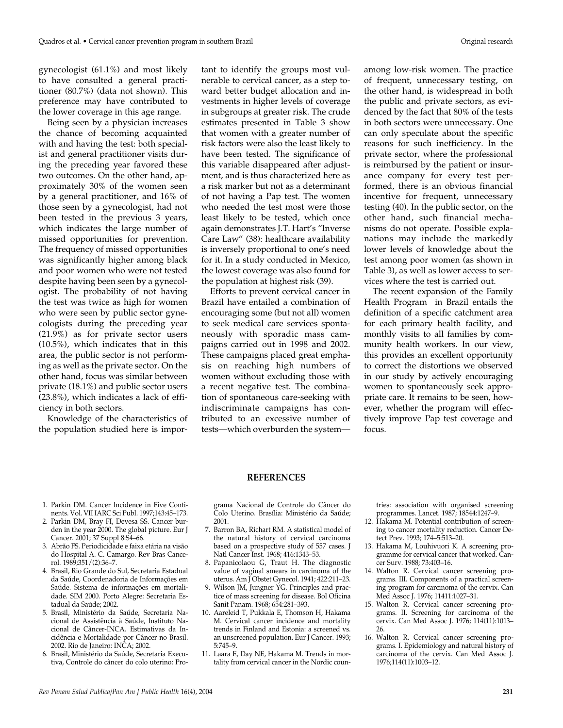gynecologist (61.1%) and most likely to have consulted a general practitioner (80.7%) (data not shown). This preference may have contributed to the lower coverage in this age range.

Being seen by a physician increases the chance of becoming acquainted with and having the test: both specialist and general practitioner visits during the preceding year favored these two outcomes. On the other hand, approximately 30% of the women seen by a general practitioner, and 16% of those seen by a gynecologist, had not been tested in the previous 3 years, which indicates the large number of missed opportunities for prevention. The frequency of missed opportunities was significantly higher among black and poor women who were not tested despite having been seen by a gynecologist. The probability of not having the test was twice as high for women who were seen by public sector gynecologists during the preceding year (21.9%) as for private sector users (10.5%), which indicates that in this area, the public sector is not performing as well as the private sector. On the other hand, focus was similar between private (18.1%) and public sector users (23.8%), which indicates a lack of efficiency in both sectors.

Knowledge of the characteristics of the population studied here is impor-

tant to identify the groups most vulnerable to cervical cancer, as a step toward better budget allocation and investments in higher levels of coverage in subgroups at greater risk. The crude estimates presented in Table 3 show that women with a greater number of risk factors were also the least likely to have been tested. The significance of this variable disappeared after adjustment, and is thus characterized here as a risk marker but not as a determinant of not having a Pap test. The women who needed the test most were those least likely to be tested, which once again demonstrates J.T. Hart's "Inverse Care Law" (38): healthcare availability is inversely proportional to one's need for it. In a study conducted in Mexico, the lowest coverage was also found for the population at highest risk (39).

Efforts to prevent cervical cancer in Brazil have entailed a combination of encouraging some (but not all) women to seek medical care services spontaneously with sporadic mass campaigns carried out in 1998 and 2002. These campaigns placed great emphasis on reaching high numbers of women without excluding those with a recent negative test. The combination of spontaneous care-seeking with indiscriminate campaigns has contributed to an excessive number of tests—which overburden the system—

among low-risk women. The practice of frequent, unnecessary testing, on the other hand, is widespread in both the public and private sectors, as evidenced by the fact that 80% of the tests in both sectors were unnecessary. One can only speculate about the specific reasons for such inefficiency. In the private sector, where the professional is reimbursed by the patient or insurance company for every test performed, there is an obvious financial incentive for frequent, unnecessary testing (40). In the public sector, on the other hand, such financial mechanisms do not operate. Possible explanations may include the markedly lower levels of knowledge about the test among poor women (as shown in Table 3), as well as lower access to services where the test is carried out.

The recent expansion of the Family Health Program in Brazil entails the definition of a specific catchment area for each primary health facility, and monthly visits to all families by community health workers. In our view, this provides an excellent opportunity to correct the distortions we observed in our study by actively encouraging women to spontaneously seek appropriate care. It remains to be seen, however, whether the program will effectively improve Pap test coverage and focus.

#### **REFERENCES**

- 1. Parkin DM. Cancer Incidence in Five Continents. Vol. VII IARC Sci Publ. 1997;143:45–173.
- 2. Parkin DM, Bray FI, Devesa SS. Cancer burden in the year 2000. The global picture. Eur J Cancer. 2001; 37 Suppl 8:S4–66.
- 3. Abrão FS. Periodicidade e faixa etária na visão do Hospital A. C. Camargo. Rev Bras Cancerol. 1989;351/(2):36–7.
- 4. Brasil, Rio Grande do Sul, Secretaria Estadual da Saúde, Coordenadoria de Informações em Saúde. Sistema de informações em mortalidade. SIM 2000. Porto Alegre: Secretaria Estadual da Saúde; 2002.
- 5. Brasil, Ministério da Saúde, Secretaria Nacional de Assistência à Saúde, Instituto Nacional de Câncer-INCA. Estimativas da Incidência e Mortalidade por Câncer no Brasil. 2002. Rio de Janeiro: INCA; 2002.
- 6. Brasil, Ministério da Saúde, Secretaria Executiva, Controle do câncer do colo uterino: Pro-

grama Nacional de Controle do Câncer do Colo Uterino. Brasília: Ministério da Saúde; 2001.

- 7. Barron BA, Richart RM. A statistical model of the natural history of cervical carcinoma based on a prospective study of 557 cases. J Natl Cancer Inst. 1968; 416:1343–53.
- 8. Papanicolaou G, Traut H. The diagnostic value of vaginal smears in carcinoma of the uterus. Am J Obstet Gynecol. 1941; 422:211–23.
- 9. Wilson JM, Jungner YG. Principles and practice of mass screening for disease. Bol Oficina Sanit Panam. 1968; 654:281–393.
- 10. Aareleid T, Pukkala E, Thomson H, Hakama M. Cervical cancer incidence and mortality trends in Finland and Estonia: a screened vs. an unscreened population. Eur J Cancer. 1993; 5:745–9.
- 11. Laara E, Day NE, Hakama M. Trends in mortality from cervical cancer in the Nordic coun-

tries: association with organised screening programmes. Lancet. 1987; 18544:1247–9.

- 12. Hakama M. Potential contribution of screening to cancer mortality reduction. Cancer Detect Prev. 1993; 174–5:513–20.
- 13. Hakama M, Louhivuori K. A screening programme for cervical cancer that worked. Cancer Surv. 1988; 73:403–16.
- 14. Walton R. Cervical cancer screening programs. III. Components of a practical screening program for carcinoma of the cervix. Can Med Assoc J. 1976; 11411:1027–31.
- 15. Walton R. Cervical cancer screening programs. II. Screening for carcinoma of the cervix. Can Med Assoc J. 1976; 114(11):1013– 26.
- 16. Walton R. Cervical cancer screening programs. I. Epidemiology and natural history of carcinoma of the cervix. Can Med Assoc J. 1976;114(11):1003–12.